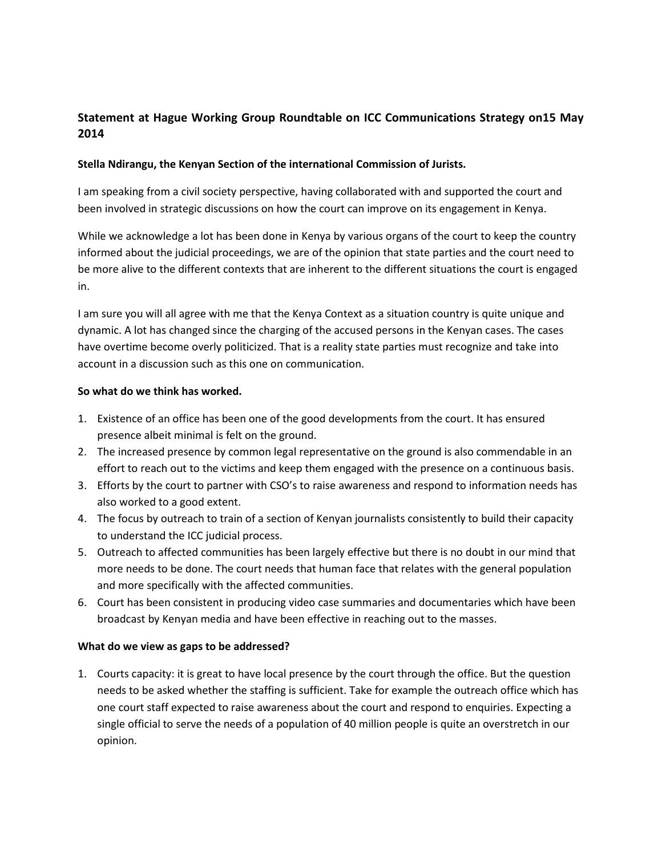# **Statement at Hague Working Group Roundtable on ICC Communications Strategy on15 May 2014**

## **Stella Ndirangu, the Kenyan Section of the international Commission of Jurists.**

I am speaking from a civil society perspective, having collaborated with and supported the court and been involved in strategic discussions on how the court can improve on its engagement in Kenya.

While we acknowledge a lot has been done in Kenya by various organs of the court to keep the country informed about the judicial proceedings, we are of the opinion that state parties and the court need to be more alive to the different contexts that are inherent to the different situations the court is engaged in.

I am sure you will all agree with me that the Kenya Context as a situation country is quite unique and dynamic. A lot has changed since the charging of the accused persons in the Kenyan cases. The cases have overtime become overly politicized. That is a reality state parties must recognize and take into account in a discussion such as this one on communication.

#### **So what do we think has worked.**

- 1. Existence of an office has been one of the good developments from the court. It has ensured presence albeit minimal is felt on the ground.
- 2. The increased presence by common legal representative on the ground is also commendable in an effort to reach out to the victims and keep them engaged with the presence on a continuous basis.
- 3. Efforts by the court to partner with CSO's to raise awareness and respond to information needs has also worked to a good extent.
- 4. The focus by outreach to train of a section of Kenyan journalists consistently to build their capacity to understand the ICC judicial process.
- 5. Outreach to affected communities has been largely effective but there is no doubt in our mind that more needs to be done. The court needs that human face that relates with the general population and more specifically with the affected communities.
- 6. Court has been consistent in producing video case summaries and documentaries which have been broadcast by Kenyan media and have been effective in reaching out to the masses.

#### **What do we view as gaps to be addressed?**

1. Courts capacity: it is great to have local presence by the court through the office. But the question needs to be asked whether the staffing is sufficient. Take for example the outreach office which has one court staff expected to raise awareness about the court and respond to enquiries. Expecting a single official to serve the needs of a population of 40 million people is quite an overstretch in our opinion.